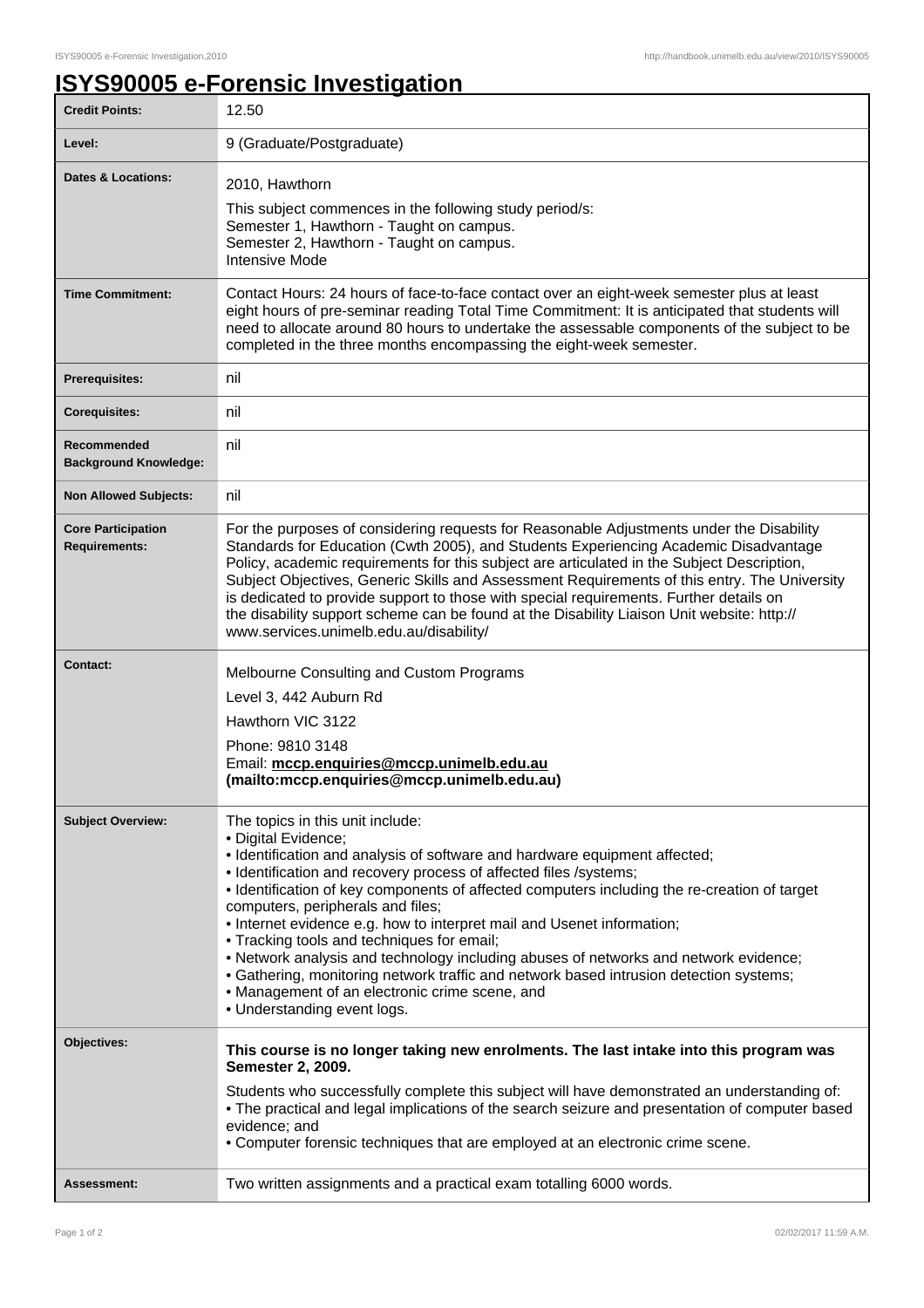## **ISYS90005 e-Forensic Investigation**

| <b>Credit Points:</b>                             | 12.50                                                                                                                                                                                                                                                                                                                                                                                                                                                                                                                                                                                                                                                                                                                                      |
|---------------------------------------------------|--------------------------------------------------------------------------------------------------------------------------------------------------------------------------------------------------------------------------------------------------------------------------------------------------------------------------------------------------------------------------------------------------------------------------------------------------------------------------------------------------------------------------------------------------------------------------------------------------------------------------------------------------------------------------------------------------------------------------------------------|
| Level:                                            | 9 (Graduate/Postgraduate)                                                                                                                                                                                                                                                                                                                                                                                                                                                                                                                                                                                                                                                                                                                  |
| <b>Dates &amp; Locations:</b>                     | 2010, Hawthorn<br>This subject commences in the following study period/s:<br>Semester 1, Hawthorn - Taught on campus.<br>Semester 2, Hawthorn - Taught on campus.<br><b>Intensive Mode</b>                                                                                                                                                                                                                                                                                                                                                                                                                                                                                                                                                 |
| <b>Time Commitment:</b>                           | Contact Hours: 24 hours of face-to-face contact over an eight-week semester plus at least<br>eight hours of pre-seminar reading Total Time Commitment: It is anticipated that students will<br>need to allocate around 80 hours to undertake the assessable components of the subject to be<br>completed in the three months encompassing the eight-week semester.                                                                                                                                                                                                                                                                                                                                                                         |
| <b>Prerequisites:</b>                             | nil                                                                                                                                                                                                                                                                                                                                                                                                                                                                                                                                                                                                                                                                                                                                        |
| <b>Corequisites:</b>                              | nil                                                                                                                                                                                                                                                                                                                                                                                                                                                                                                                                                                                                                                                                                                                                        |
| Recommended<br><b>Background Knowledge:</b>       | nil                                                                                                                                                                                                                                                                                                                                                                                                                                                                                                                                                                                                                                                                                                                                        |
| <b>Non Allowed Subjects:</b>                      | nil                                                                                                                                                                                                                                                                                                                                                                                                                                                                                                                                                                                                                                                                                                                                        |
| <b>Core Participation</b><br><b>Requirements:</b> | For the purposes of considering requests for Reasonable Adjustments under the Disability<br>Standards for Education (Cwth 2005), and Students Experiencing Academic Disadvantage<br>Policy, academic requirements for this subject are articulated in the Subject Description,<br>Subject Objectives, Generic Skills and Assessment Requirements of this entry. The University<br>is dedicated to provide support to those with special requirements. Further details on<br>the disability support scheme can be found at the Disability Liaison Unit website: http://<br>www.services.unimelb.edu.au/disability/                                                                                                                          |
| Contact:                                          | Melbourne Consulting and Custom Programs<br>Level 3, 442 Auburn Rd<br>Hawthorn VIC 3122<br>Phone: 9810 3148<br>Email: mccp.enquiries@mccp.unimelb.edu.au<br>(mailto:mccp.enquiries@mccp.unimelb.edu.au)                                                                                                                                                                                                                                                                                                                                                                                                                                                                                                                                    |
| <b>Subject Overview:</b>                          | The topics in this unit include:<br>· Digital Evidence;<br>• Identification and analysis of software and hardware equipment affected;<br>• Identification and recovery process of affected files /systems;<br>• Identification of key components of affected computers including the re-creation of target<br>computers, peripherals and files;<br>• Internet evidence e.g. how to interpret mail and Usenet information;<br>• Tracking tools and techniques for email;<br>• Network analysis and technology including abuses of networks and network evidence;<br>• Gathering, monitoring network traffic and network based intrusion detection systems;<br>• Management of an electronic crime scene, and<br>• Understanding event logs. |
| Objectives:                                       | This course is no longer taking new enrolments. The last intake into this program was<br>Semester 2, 2009.<br>Students who successfully complete this subject will have demonstrated an understanding of:<br>• The practical and legal implications of the search seizure and presentation of computer based<br>evidence; and<br>• Computer forensic techniques that are employed at an electronic crime scene.                                                                                                                                                                                                                                                                                                                            |
| Assessment:                                       | Two written assignments and a practical exam totalling 6000 words.                                                                                                                                                                                                                                                                                                                                                                                                                                                                                                                                                                                                                                                                         |